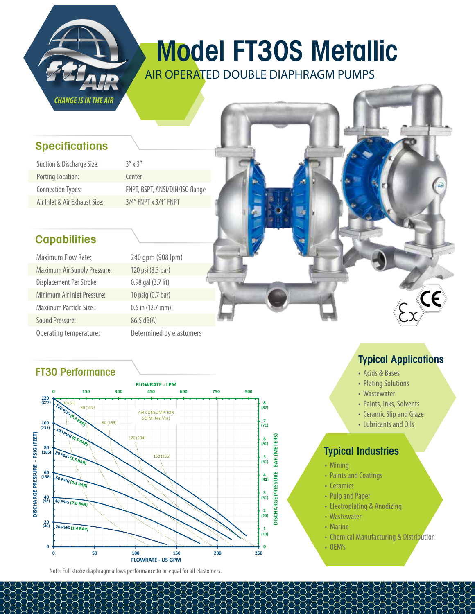

# Model FT30S Metallic

AIR OPERATED DOUBLE DIAPHRAGM PUMPS

#### **Specifications**

| Suction & Discharge Size:     | ζ |
|-------------------------------|---|
| <b>Porting Location:</b>      | G |
| <b>Connection Types:</b>      | F |
| Air Inlet & Air Exhaust Size: |   |

 $''$  x 3" enter NPT, BSPT, ANSI/DIN/ISO flange /4" FNPT x 3/4" FNPT

# **Capabilities**

| <b>Maximum Flow Rate:</b>           |  |  |
|-------------------------------------|--|--|
| <b>Maximum Air Supply Pressure:</b> |  |  |
| Displacement Per Stroke:            |  |  |
| Minimum Air Inlet Pressure:         |  |  |
| Maximum Particle Size :             |  |  |
| <b>Sound Pressure:</b>              |  |  |
| Operating temperature:              |  |  |

240 gpm (908 lpm) 120 psi (8.3 bar) 0.98 gal (3.7 lit) 10 psig  $(0.7$  bar)  $0.5$  in (12.7 mm)  $86.5$  dB(A) Determined by elastomers

## FT30 Performance



Note: Full stroke diaphragm allows performance to be equal for all elastomers.

# Typical Applications

 $\mathsf{C}\mathsf{C}$ 

- Acids & Bases
- Plating Solutions
- Wastewater
- Paints, Inks, Solvents
- Ceramic Slip and Glaze
- Lubricants and Oils

#### Typical Industries

- Mining
- Paints and Coatings
- Ceramics
- Pulp and Paper
- Electroplating & Anodizing
- Wastewater
- Marine
- Chemical Manufacturing & Distribution
- OEM's